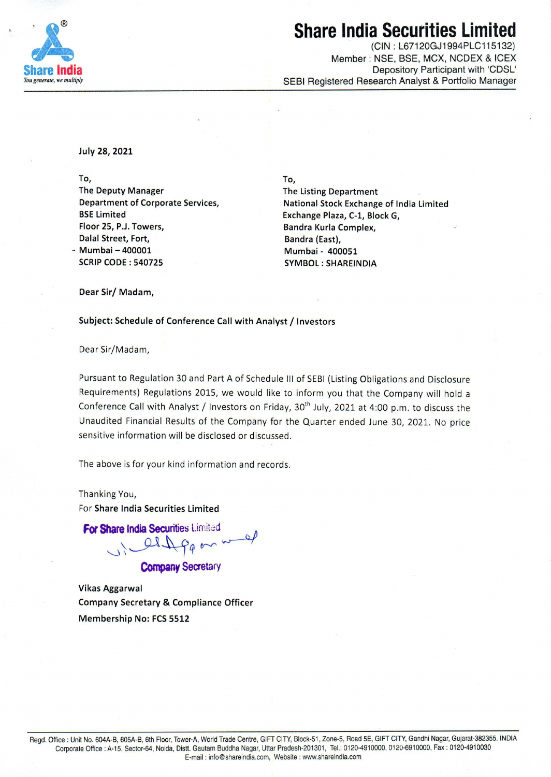

### **Share India Securities Limi**

(GIN: L67120GJ1994PLC115132) Member : NSE, BSE, MCX, NCDEX & ICEX Depository Participant with 'CDSL' SEBI Registered Research Analyst & Portfolio Manager

July 28, 2021

To,

The Deputy Manager Department of Corporate Services, BSE Limited Floor 25, P.J. Towers, Dalal Street, Fort, Mumbai - 400001 SCRIP CODE : 540725

**To, The Listing Department National Stock Exchange of India Limited Exchange Plaza, C-1, Block G, Bandra Kurla Complex, Bandra (East), Mumbai - 400051 SYMBOL: SHAREINDIA** 

**Dear Sir/ Madam,** 

**Subject: Schedule of Conference Call with Analyst/ Investors** 

Dear Sir/Madam,

Pursuant to Regulation 30 and Part A of Schedule Ill of SEBI (Listing Obligations and Disclosure Requirements) Regulations 2015, we would like to inform you that the Company will hold a Conference Call with Analyst / Investors on Friday, 30<sup>th</sup> July, 2021 at 4:00 p.m. to discuss the Unaudited Financial Results of the Company for the Quarter ended June 30, 2021. No price sensitive information will be disclosed or discussed.

The above is for your kind information and records.

Thanking You, For **Share India Securities Limited** 

**For Share India Securities Limited** 

Paon nd

**Company** Secretary

Vikas Aggarwal Company Secretary & Compliance Officer Membership No: FCS 5512